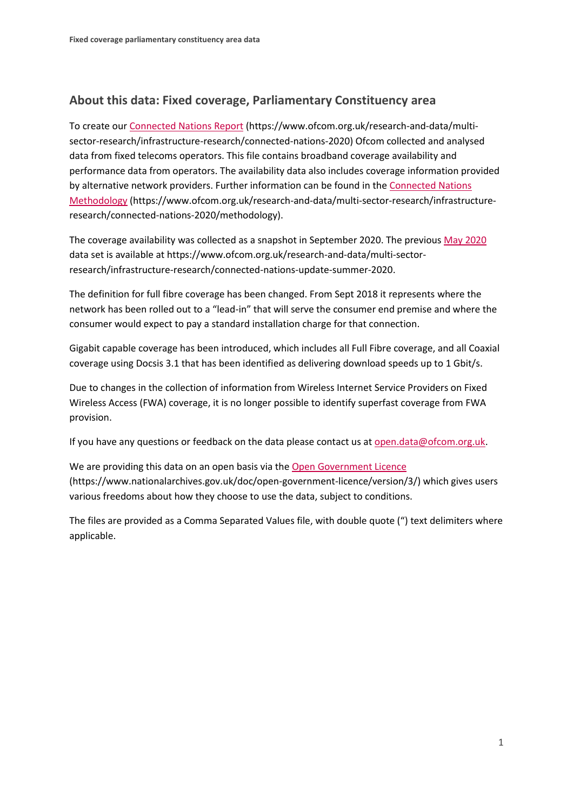## **About this data: Fixed coverage, Parliamentary Constituency area**

To create ou[r Connected Nations Report](https://www.ofcom.org.uk/research-and-data/multi-sector-research/infrastructure-research/connected-nations-2020) (https://www.ofcom.org.uk/research-and-data/multisector-research/infrastructure-research/connected-nations-2020) Ofcom collected and analysed data from fixed telecoms operators. This file contains broadband coverage availability and performance data from operators. The availability data also includes coverage information provided by alternative network providers. Further information can be found in the [Connected Nations](https://www.ofcom.org.uk/research-and-data/multi-sector-research/infrastructure-research/connected-nations-2020/methodology)  [Methodology](https://www.ofcom.org.uk/research-and-data/multi-sector-research/infrastructure-research/connected-nations-2020/methodology) (https://www.ofcom.org.uk/research-and-data/multi-sector-research/infrastructureresearch/connected-nations-2020/methodology).

The coverage availability was collected as a snapshot in September 2020. The previous [May 2020](https://www.ofcom.org.uk/research-and-data/multi-sector-research/infrastructure-research/connected-nations-update-summer-2020) data set is available at https://www.ofcom.org.uk/research-and-data/multi-sectorresearch/infrastructure-research/connected-nations-update-summer-2020.

The definition for full fibre coverage has been changed. From Sept 2018 it represents where the network has been rolled out to a "lead-in" that will serve the consumer end premise and where the consumer would expect to pay a standard installation charge for that connection.

Gigabit capable coverage has been introduced, which includes all Full Fibre coverage, and all Coaxial coverage using Docsis 3.1 that has been identified as delivering download speeds up to 1 Gbit/s.

Due to changes in the collection of information from Wireless Internet Service Providers on Fixed Wireless Access (FWA) coverage, it is no longer possible to identify superfast coverage from FWA provision.

If you have any questions or feedback on the data please contact us at [open.data@ofcom.org.uk.](mailto:open.data@ofcom.org.uk)

We are providing this data on an open basis via the [Open Government Licence](https://www.nationalarchives.gov.uk/doc/open-government-licence/version/3/) (https://www.nationalarchives.gov.uk/doc/open-government-licence/version/3/) which gives users various freedoms about how they choose to use the data, subject to conditions.

The files are provided as a Comma Separated Values file, with double quote (") text delimiters where applicable.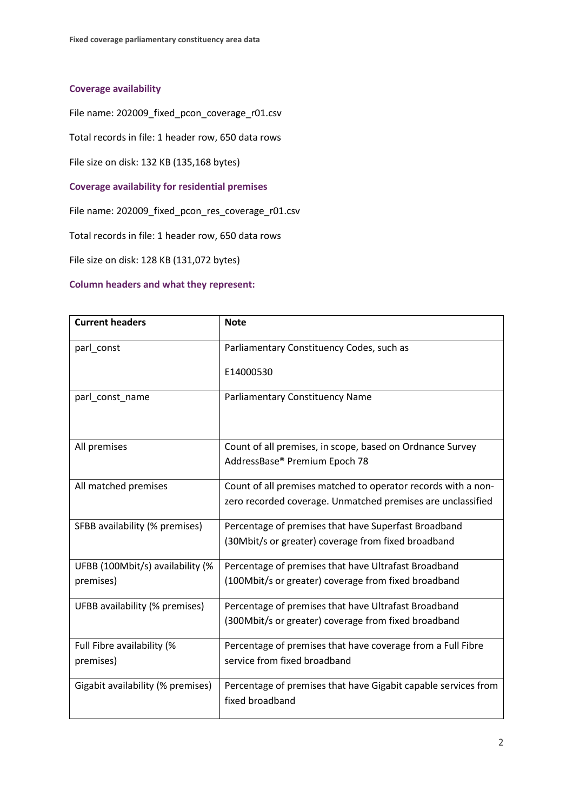## **Coverage availability**

File name: 202009\_fixed\_pcon\_coverage\_r01.csv

Total records in file: 1 header row, 650 data rows

File size on disk: 132 KB (135,168 bytes)

**Coverage availability for residential premises**

File name: 202009\_fixed\_pcon\_res\_coverage\_r01.csv

Total records in file: 1 header row, 650 data rows

File size on disk: 128 KB (131,072 bytes)

## **Column headers and what they represent:**

| <b>Current headers</b>                        | <b>Note</b>                                                                                                                  |
|-----------------------------------------------|------------------------------------------------------------------------------------------------------------------------------|
| parl_const                                    | Parliamentary Constituency Codes, such as                                                                                    |
|                                               | E14000530                                                                                                                    |
| parl_const_name                               | <b>Parliamentary Constituency Name</b>                                                                                       |
| All premises                                  | Count of all premises, in scope, based on Ordnance Survey<br>AddressBase® Premium Epoch 78                                   |
| All matched premises                          | Count of all premises matched to operator records with a non-<br>zero recorded coverage. Unmatched premises are unclassified |
| SFBB availability (% premises)                | Percentage of premises that have Superfast Broadband<br>(30Mbit/s or greater) coverage from fixed broadband                  |
| UFBB (100Mbit/s) availability (%<br>premises) | Percentage of premises that have Ultrafast Broadband<br>(100Mbit/s or greater) coverage from fixed broadband                 |
| UFBB availability (% premises)                | Percentage of premises that have Ultrafast Broadband<br>(300Mbit/s or greater) coverage from fixed broadband                 |
| Full Fibre availability (%<br>premises)       | Percentage of premises that have coverage from a Full Fibre<br>service from fixed broadband                                  |
| Gigabit availability (% premises)             | Percentage of premises that have Gigabit capable services from<br>fixed broadband                                            |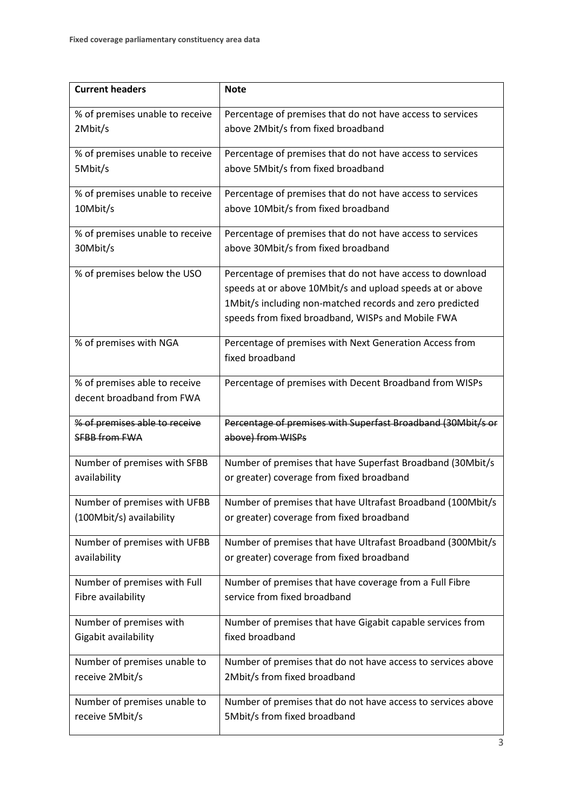| <b>Current headers</b>          | <b>Note</b>                                                  |
|---------------------------------|--------------------------------------------------------------|
| % of premises unable to receive | Percentage of premises that do not have access to services   |
| 2Mbit/s                         | above 2Mbit/s from fixed broadband                           |
| % of premises unable to receive | Percentage of premises that do not have access to services   |
| 5Mbit/s                         | above 5Mbit/s from fixed broadband                           |
| % of premises unable to receive | Percentage of premises that do not have access to services   |
| 10Mbit/s                        | above 10Mbit/s from fixed broadband                          |
| % of premises unable to receive | Percentage of premises that do not have access to services   |
| 30Mbit/s                        | above 30Mbit/s from fixed broadband                          |
| % of premises below the USO     | Percentage of premises that do not have access to download   |
|                                 | speeds at or above 10Mbit/s and upload speeds at or above    |
|                                 | 1Mbit/s including non-matched records and zero predicted     |
|                                 | speeds from fixed broadband, WISPs and Mobile FWA            |
| % of premises with NGA          | Percentage of premises with Next Generation Access from      |
|                                 | fixed broadband                                              |
| % of premises able to receive   | Percentage of premises with Decent Broadband from WISPs      |
| decent broadband from FWA       |                                                              |
| % of premises able to receive   | Percentage of premises with Superfast Broadband (30Mbit/s or |
| <b>SFBB from FWA</b>            | above) from WISPs                                            |
| Number of premises with SFBB    | Number of premises that have Superfast Broadband (30Mbit/s   |
| availability                    | or greater) coverage from fixed broadband                    |
| Number of premises with UFBB    | Number of premises that have Ultrafast Broadband (100Mbit/s  |
| (100Mbit/s) availability        | or greater) coverage from fixed broadband                    |
| Number of premises with UFBB    | Number of premises that have Ultrafast Broadband (300Mbit/s  |
| availability                    | or greater) coverage from fixed broadband                    |
| Number of premises with Full    | Number of premises that have coverage from a Full Fibre      |
| Fibre availability              | service from fixed broadband                                 |
| Number of premises with         | Number of premises that have Gigabit capable services from   |
| Gigabit availability            | fixed broadband                                              |
| Number of premises unable to    | Number of premises that do not have access to services above |
| receive 2Mbit/s                 | 2Mbit/s from fixed broadband                                 |
| Number of premises unable to    | Number of premises that do not have access to services above |
| receive 5Mbit/s                 | 5Mbit/s from fixed broadband                                 |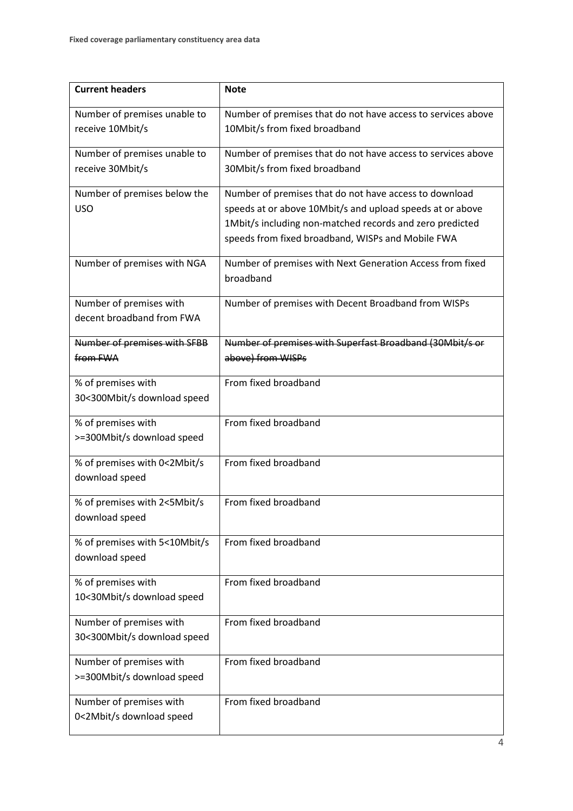| <b>Current headers</b>                           | <b>Note</b>                                                                                   |
|--------------------------------------------------|-----------------------------------------------------------------------------------------------|
| Number of premises unable to                     | Number of premises that do not have access to services above                                  |
| receive 10Mbit/s                                 | 10Mbit/s from fixed broadband                                                                 |
|                                                  |                                                                                               |
| Number of premises unable to<br>receive 30Mbit/s | Number of premises that do not have access to services above<br>30Mbit/s from fixed broadband |
|                                                  |                                                                                               |
| Number of premises below the                     | Number of premises that do not have access to download                                        |
| <b>USO</b>                                       | speeds at or above 10Mbit/s and upload speeds at or above                                     |
|                                                  | 1Mbit/s including non-matched records and zero predicted                                      |
|                                                  | speeds from fixed broadband, WISPs and Mobile FWA                                             |
| Number of premises with NGA                      | Number of premises with Next Generation Access from fixed                                     |
|                                                  | broadband                                                                                     |
| Number of premises with                          | Number of premises with Decent Broadband from WISPs                                           |
| decent broadband from FWA                        |                                                                                               |
|                                                  |                                                                                               |
| Number of premises with SFBB<br>from FWA         | Number of premises with Superfast Broadband (30Mbit/s or<br>above) from WISPs                 |
|                                                  |                                                                                               |
| % of premises with                               | From fixed broadband                                                                          |
| 30<300Mbit/s download speed                      |                                                                                               |
| % of premises with                               | From fixed broadband                                                                          |
| >=300Mbit/s download speed                       |                                                                                               |
| % of premises with 0<2Mbit/s                     | From fixed broadband                                                                          |
| download speed                                   |                                                                                               |
|                                                  |                                                                                               |
| % of premises with 2<5Mbit/s<br>download speed   | From fixed broadband                                                                          |
|                                                  |                                                                                               |
| % of premises with 5<10Mbit/s                    | From fixed broadband                                                                          |
| download speed                                   |                                                                                               |
| % of premises with                               | From fixed broadband                                                                          |
| 10<30Mbit/s download speed                       |                                                                                               |
| Number of premises with                          | From fixed broadband                                                                          |
| 30<300Mbit/s download speed                      |                                                                                               |
|                                                  |                                                                                               |
| Number of premises with                          | From fixed broadband                                                                          |
| >=300Mbit/s download speed                       |                                                                                               |
| Number of premises with                          | From fixed broadband                                                                          |
| 0<2Mbit/s download speed                         |                                                                                               |
|                                                  |                                                                                               |